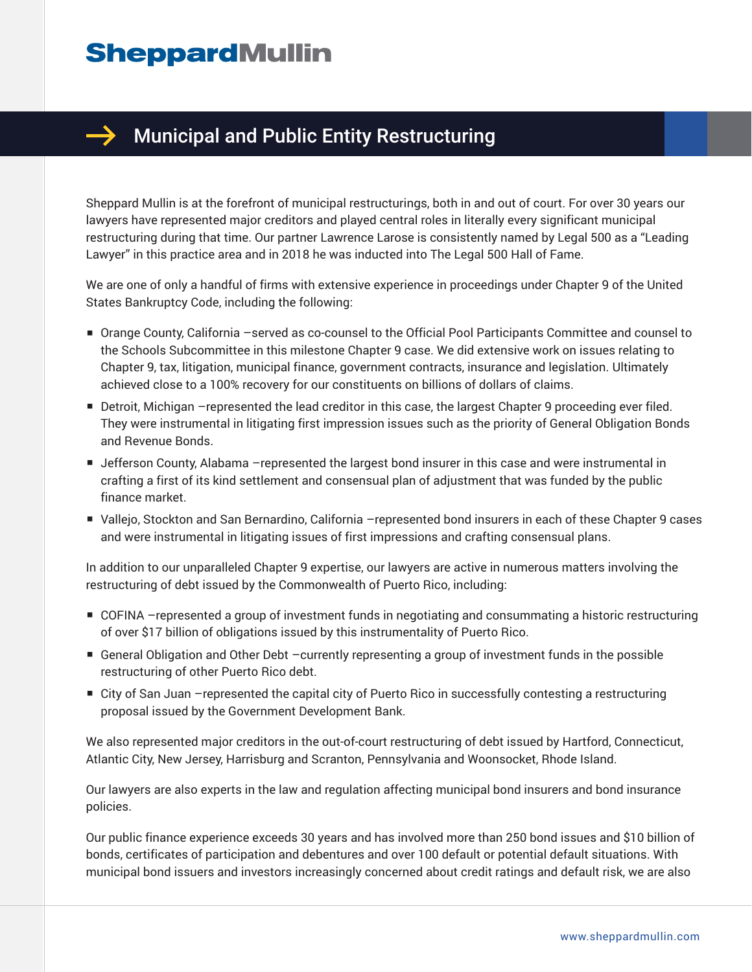## **SheppardMullin**



## Municipal and Public Entity Restructuring

Sheppard Mullin is at the forefront of municipal restructurings, both in and out of court. For over 30 years our lawyers have represented major creditors and played central roles in literally every significant municipal restructuring during that time. Our partner Lawrence Larose is consistently named by Legal 500 as a "Leading Lawyer" in this practice area and in 2018 he was inducted into The Legal 500 Hall of Fame.

We are one of only a handful of firms with extensive experience in proceedings under Chapter 9 of the United States Bankruptcy Code, including the following:

- Orange County, California –served as co-counsel to the Official Pool Participants Committee and counsel to the Schools Subcommittee in this milestone Chapter 9 case. We did extensive work on issues relating to Chapter 9, tax, litigation, municipal finance, government contracts, insurance and legislation. Ultimately achieved close to a 100% recovery for our constituents on billions of dollars of claims.
- Detroit, Michigan –represented the lead creditor in this case, the largest Chapter 9 proceeding ever filed. They were instrumental in litigating first impression issues such as the priority of General Obligation Bonds and Revenue Bonds.
- Jefferson County, Alabama –represented the largest bond insurer in this case and were instrumental in crafting a first of its kind settlement and consensual plan of adjustment that was funded by the public finance market.
- Vallejo, Stockton and San Bernardino, California –represented bond insurers in each of these Chapter 9 cases and were instrumental in litigating issues of first impressions and crafting consensual plans.

In addition to our unparalleled Chapter 9 expertise, our lawyers are active in numerous matters involving the restructuring of debt issued by the Commonwealth of Puerto Rico, including:

- COFINA –represented a group of investment funds in negotiating and consummating a historic restructuring of over \$17 billion of obligations issued by this instrumentality of Puerto Rico.
- General Obligation and Other Debt –currently representing a group of investment funds in the possible restructuring of other Puerto Rico debt.
- City of San Juan –represented the capital city of Puerto Rico in successfully contesting a restructuring proposal issued by the Government Development Bank.

We also represented major creditors in the out-of-court restructuring of debt issued by Hartford, Connecticut, Atlantic City, New Jersey, Harrisburg and Scranton, Pennsylvania and Woonsocket, Rhode Island.

Our lawyers are also experts in the law and regulation affecting municipal bond insurers and bond insurance policies.

Our public finance experience exceeds 30 years and has involved more than 250 bond issues and \$10 billion of bonds, certificates of participation and debentures and over 100 default or potential default situations. With municipal bond issuers and investors increasingly concerned about credit ratings and default risk, we are also